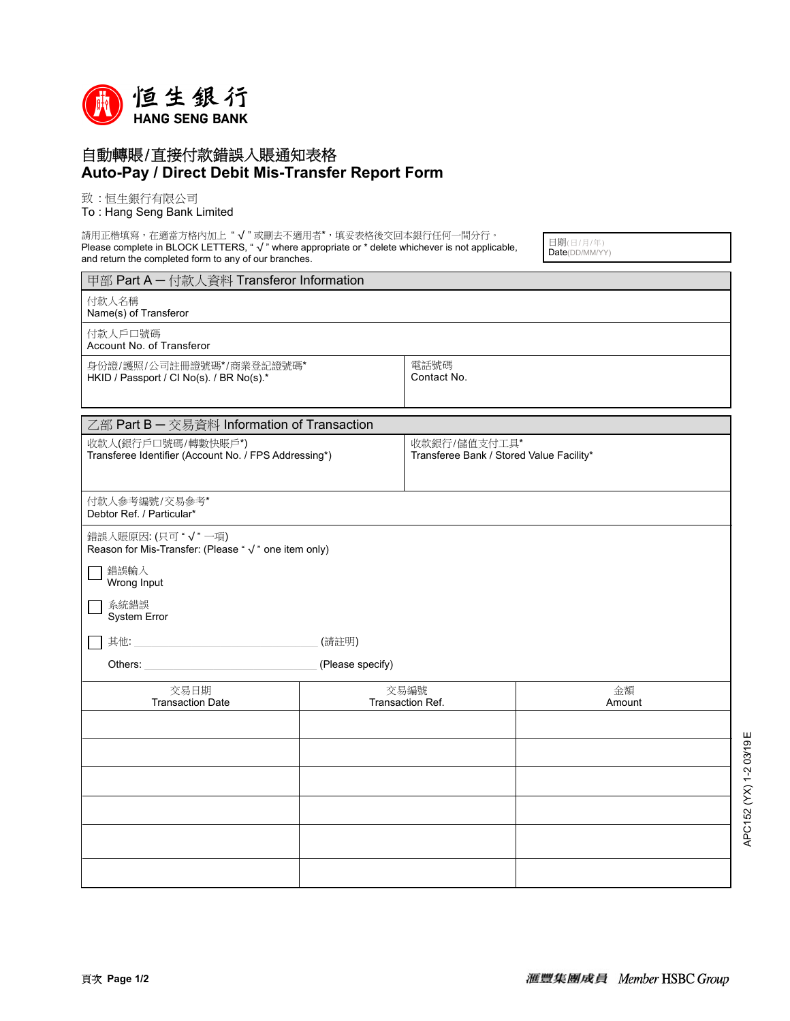

## 自動轉賬/直接付款錯誤入賬通知表格 **Auto-Pay / Direct Debit Mis-Transfer Report Form**

致 : 恒生銀行有限公司

## To : Hang Seng Bank Limited

請用正楷填寫,在適當方格內加上"√"或刪去不適用者\*,填妥表格後交回本銀行任何一間分行。 Please complete in BLOCK LETTERS, "  $\sqrt{ }$  " where appropriate or \* delete whichever is not applicable, and return the completed form to any of our branches.

日期(日/月/年) Date(DD/MM/YY)

| 甲部 Part A - 付款人資料 Transferor Information                                    |                          |                                                          |              |  |
|-----------------------------------------------------------------------------|--------------------------|----------------------------------------------------------|--------------|--|
| 付款人名稱<br>Name(s) of Transferor                                              |                          |                                                          |              |  |
| 付款人戶口號碼<br>Account No. of Transferor                                        |                          |                                                          |              |  |
| 身份證/護照/公司註冊證號碼*/商業登記證號碼*<br>HKID / Passport / CI No(s). / BR No(s).*        |                          | 電話號碼<br>Contact No.                                      |              |  |
| 乙部 Part B - 交易資料 Information of Transaction                                 |                          |                                                          |              |  |
| 收款人(銀行戶口號碼/轉數快賬戶*)<br>Transferee Identifier (Account No. / FPS Addressing*) |                          | 收款銀行/儲值支付工具*<br>Transferee Bank / Stored Value Facility* |              |  |
| 付款人参考编號/交易參考*<br>Debtor Ref. / Particular*                                  |                          |                                                          |              |  |
| 錯誤入賬原因: (只可"√"一項)<br>Reason for Mis-Transfer: (Please " √ " one item only)  |                          |                                                          |              |  |
| 錯誤輸入<br>Wrong Input                                                         |                          |                                                          |              |  |
| 系統錯誤<br>System Error                                                        |                          |                                                          |              |  |
| 其他:<br>(請註明)                                                                |                          |                                                          |              |  |
| (Please specify)<br>Others:                                                 |                          |                                                          |              |  |
| 交易日期<br><b>Transaction Date</b>                                             | 交易編號<br>Transaction Ref. |                                                          | 金額<br>Amount |  |
|                                                                             |                          |                                                          |              |  |
|                                                                             |                          |                                                          |              |  |
|                                                                             |                          |                                                          |              |  |
|                                                                             |                          |                                                          |              |  |
|                                                                             |                          |                                                          |              |  |
|                                                                             |                          |                                                          |              |  |
|                                                                             |                          |                                                          |              |  |